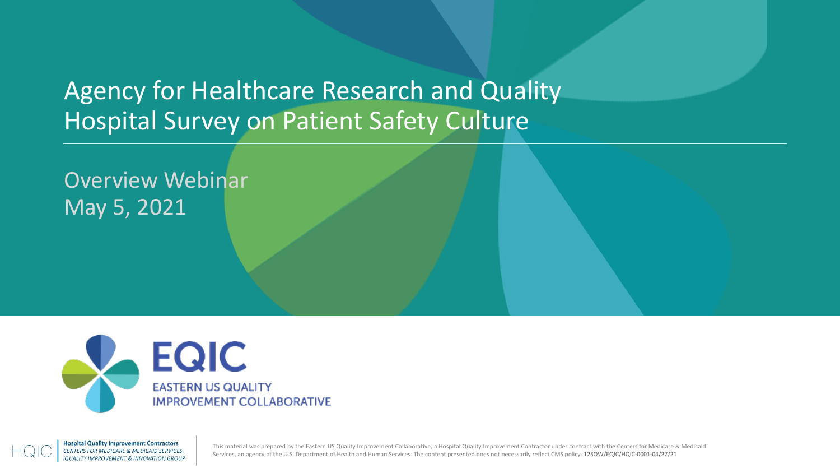### Agency for Healthcare Research and Quality Hospital Survey on Patient Safety Culture

Overview Webinar May 5, 2021



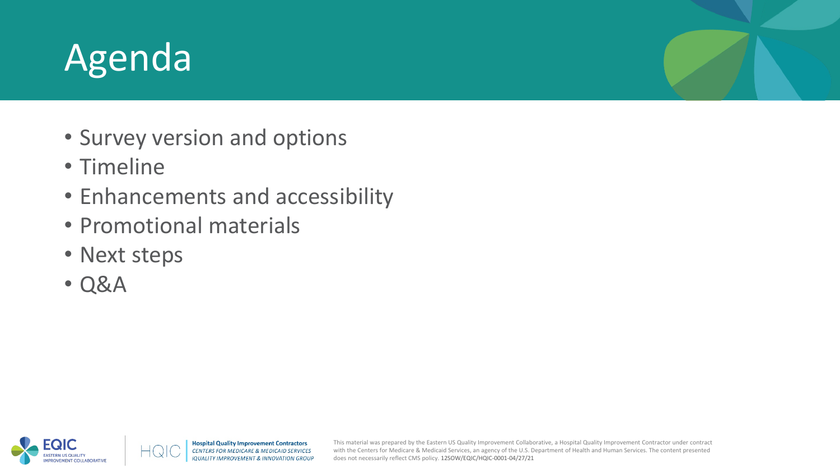## Agenda

- Survey version and options
- Timeline
- Enhancements and accessibility
- Promotional materials
- Next steps
- Q&A

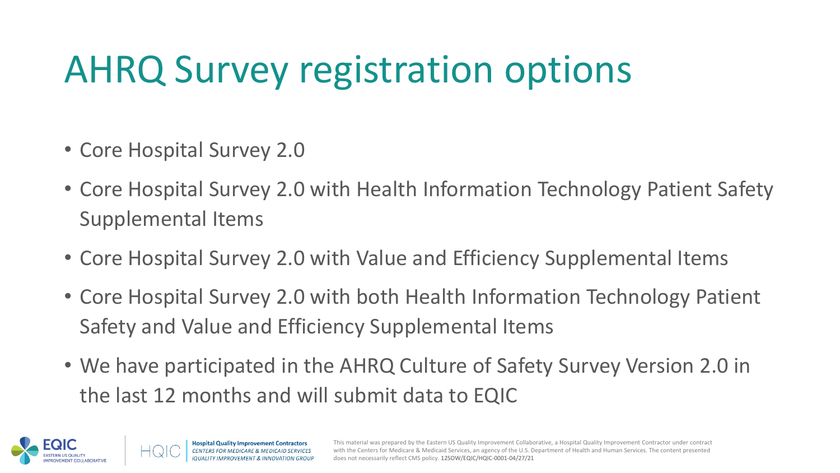## AHRQ Survey registration options

- Core Hospital Survey 2.0
- Core Hospital Survey 2.0 with Health Information Technology Patient Safety Supplemental Items
- Core Hospital Survey 2.0 with Value and Efficiency Supplemental Items
- Core Hospital Survey 2.0 with both Health Information Technology Patient Safety and Value and Efficiency Supplemental Items
- We have participated in the AHRQ Culture of Safety Survey Version 2.0 in the last 12 months and will submit data to EQIC

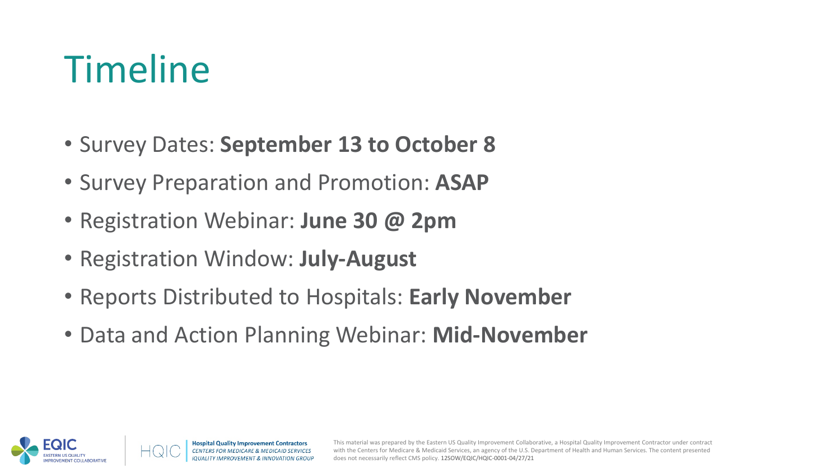### Timeline

- Survey Dates: **September 13 to October 8**
- Survey Preparation and Promotion: **ASAP**
- Registration Webinar: **June 30 @ 2pm**
- Registration Window: **July-August**
- Reports Distributed to Hospitals: **Early November**
- Data and Action Planning Webinar: **Mid-November**

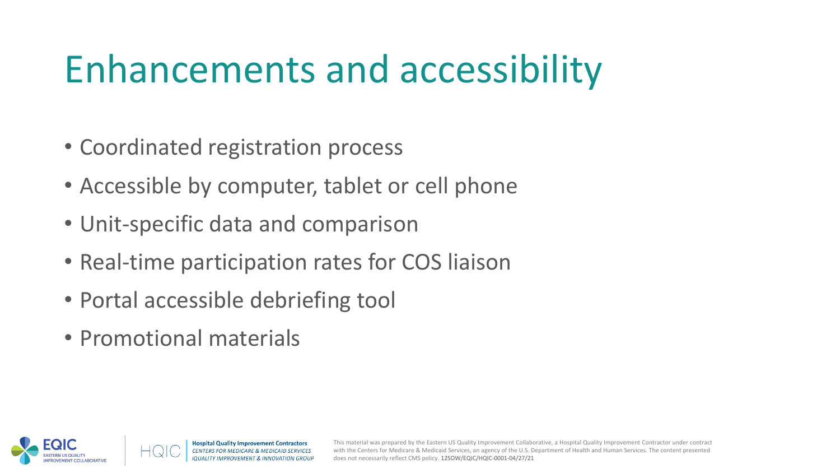## Enhancements and accessibility

- Coordinated registration process
- Accessible by computer, tablet or cell phone
- Unit-specific data and comparison
- Real-time participation rates for COS liaison
- Portal accessible debriefing tool
- Promotional materials

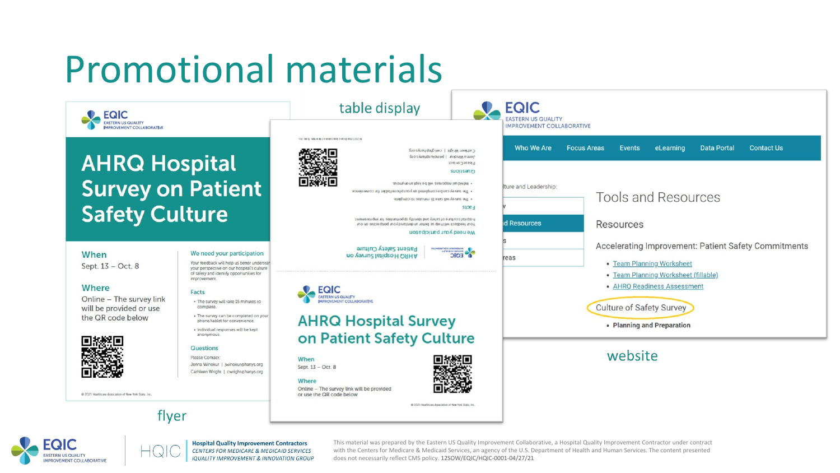### Promotional materials



### **AHRQ Hospital Survey on Patient Safety Culture**

flyer

### When

Sept. 13 - Oct. 8

### Where

Online - The survey link will be provided or use the QR code below



· Individual responses will be kept anonymous

We need your participation

Your feedback will help us better understar

your perspective on our hospital's culture of safety and identify opportunities for

### **Questions**

improvement

Facts

Please Contact Jenna Winokur | jwinokur@hanys.org Cathleen Wright | cwright@hanys.org

@ 2021 Haalthcare Association of New York State, Inc.



Online - The survey link will be provided or use the QR code below

When

Where



@ 2021 Hualthcam Association of New York State, Inc.



**Hospital Quality Improvement Contractors** CENTERS FOR MEDICARE & MEDICAID SERVICES **IQUALITY IMPROVEMENT & INNOVATION GROUP**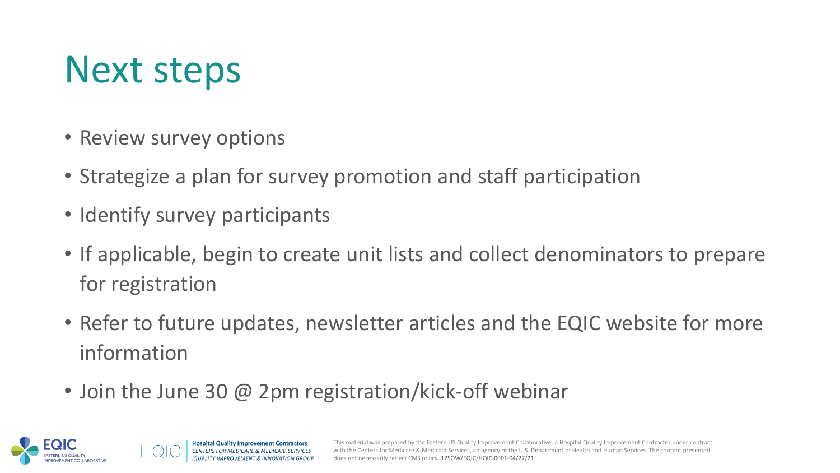### Next steps

- Review survey options
- Strategize a plan for survey promotion and staff participation
- Identify survey participants
- If applicable, begin to create unit lists and collect denominators to prepare for registration
- Refer to future updates, newsletter articles and the EQIC website for more information
- Join the June 30 @ 2pm registration/kick-off webinar

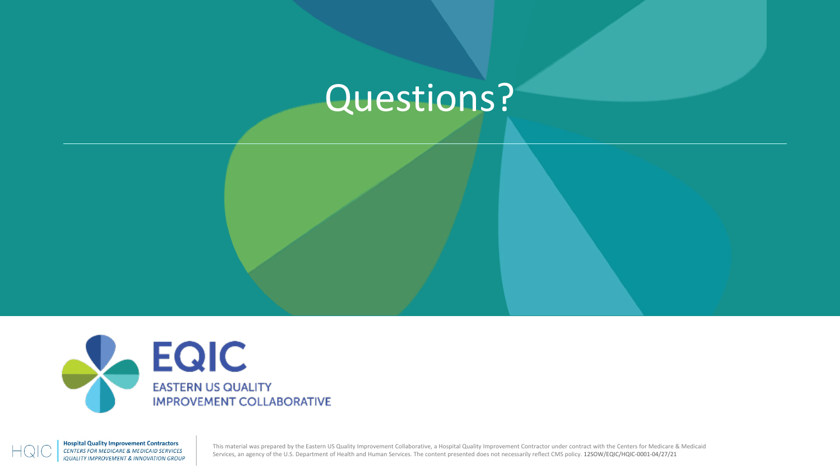### Questions?